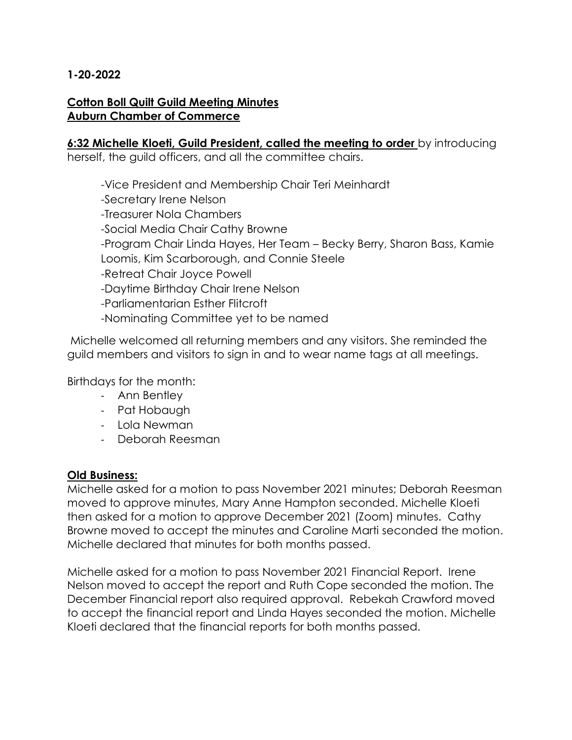### **1-20-2022**

#### **Cotton Boll Quilt Guild Meeting Minutes Auburn Chamber of Commerce**

# **6:32 Michelle Kloeti, Guild President, called the meeting to order** by introducing

herself, the guild officers, and all the committee chairs.

-Vice President and Membership Chair Teri Meinhardt -Secretary Irene Nelson -Treasurer Nola Chambers -Social Media Chair Cathy Browne -Program Chair Linda Hayes, Her Team – Becky Berry, Sharon Bass, Kamie Loomis, Kim Scarborough, and Connie Steele -Retreat Chair Joyce Powell -Daytime Birthday Chair Irene Nelson -Parliamentarian Esther Flitcroft -Nominating Committee yet to be named

Michelle welcomed all returning members and any visitors. She reminded the guild members and visitors to sign in and to wear name tags at all meetings.

Birthdays for the month:

- Ann Bentley
- Pat Hobaugh
- Lola Newman
- Deborah Reesman

### **Old Business:**

Michelle asked for a motion to pass November 2021 minutes; Deborah Reesman moved to approve minutes, Mary Anne Hampton seconded. Michelle Kloeti then asked for a motion to approve December 2021 (Zoom) minutes. Cathy Browne moved to accept the minutes and Caroline Marti seconded the motion. Michelle declared that minutes for both months passed.

Michelle asked for a motion to pass November 2021 Financial Report. Irene Nelson moved to accept the report and Ruth Cope seconded the motion. The December Financial report also required approval. Rebekah Crawford moved to accept the financial report and Linda Hayes seconded the motion. Michelle Kloeti declared that the financial reports for both months passed.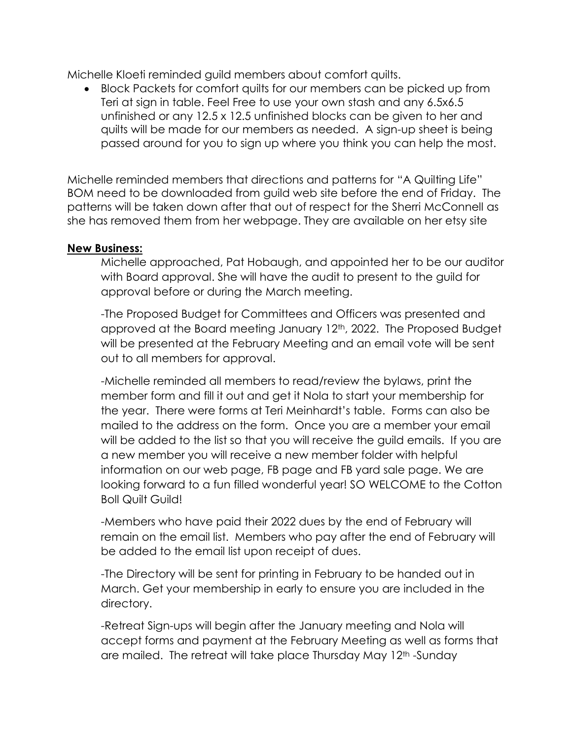Michelle Kloeti reminded guild members about comfort quilts.

 Block Packets for comfort quilts for our members can be picked up from Teri at sign in table. Feel Free to use your own stash and any 6.5x6.5 unfinished or any 12.5 x 12.5 unfinished blocks can be given to her and quilts will be made for our members as needed. A sign-up sheet is being passed around for you to sign up where you think you can help the most.

Michelle reminded members that directions and patterns for "A Quilting Life" BOM need to be downloaded from guild web site before the end of Friday. The patterns will be taken down after that out of respect for the Sherri McConnell as she has removed them from her webpage. They are available on her etsy site

### **New Business:**

Michelle approached, Pat Hobaugh, and appointed her to be our auditor with Board approval. She will have the audit to present to the guild for approval before or during the March meeting.

-The Proposed Budget for Committees and Officers was presented and approved at the Board meeting January 12th, 2022. The Proposed Budget will be presented at the February Meeting and an email vote will be sent out to all members for approval.

-Michelle reminded all members to read/review the bylaws, print the member form and fill it out and get it Nola to start your membership for the year. There were forms at Teri Meinhardt's table. Forms can also be mailed to the address on the form. Once you are a member your email will be added to the list so that you will receive the guild emails. If you are a new member you will receive a new member folder with helpful information on our web page, FB page and FB yard sale page. We are looking forward to a fun filled wonderful year! SO WELCOME to the Cotton Boll Quilt Guild!

-Members who have paid their 2022 dues by the end of February will remain on the email list. Members who pay after the end of February will be added to the email list upon receipt of dues.

-The Directory will be sent for printing in February to be handed out in March. Get your membership in early to ensure you are included in the directory.

-Retreat Sign-ups will begin after the January meeting and Nola will accept forms and payment at the February Meeting as well as forms that are mailed. The retreat will take place Thursday May 12<sup>th</sup> -Sunday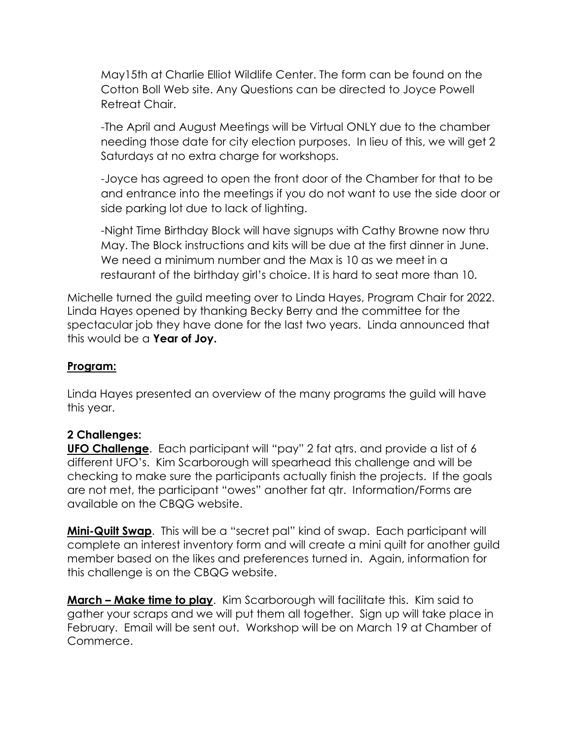May15th at Charlie Elliot Wildlife Center. The form can be found on the Cotton Boll Web site. Any Questions can be directed to Joyce Powell Retreat Chair.

-The April and August Meetings will be Virtual ONLY due to the chamber needing those date for city election purposes. In lieu of this, we will get 2 Saturdays at no extra charge for workshops.

-Joyce has agreed to open the front door of the Chamber for that to be and entrance into the meetings if you do not want to use the side door or side parking lot due to lack of lighting.

-Night Time Birthday Block will have signups with Cathy Browne now thru May. The Block instructions and kits will be due at the first dinner in June. We need a minimum number and the Max is 10 as we meet in a restaurant of the birthday girl's choice. It is hard to seat more than 10.

Michelle turned the guild meeting over to Linda Hayes, Program Chair for 2022. Linda Hayes opened by thanking Becky Berry and the committee for the spectacular job they have done for the last two years. Linda announced that this would be a **Year of Joy.**

### **Program:**

Linda Hayes presented an overview of the many programs the guild will have this year.

### **2 Challenges:**

**UFO Challenge**. Each participant will "pay" 2 fat qtrs. and provide a list of 6 different UFO's. Kim Scarborough will spearhead this challenge and will be checking to make sure the participants actually finish the projects. If the goals are not met, the participant "owes" another fat qtr. Information/Forms are available on the CBQG website.

**Mini-Quilt Swap**. This will be a "secret pal" kind of swap. Each participant will complete an interest inventory form and will create a mini quilt for another guild member based on the likes and preferences turned in. Again, information for this challenge is on the CBQG website.

**March – Make time to play**. Kim Scarborough will facilitate this. Kim said to gather your scraps and we will put them all together. Sign up will take place in February. Email will be sent out. Workshop will be on March 19 at Chamber of Commerce.